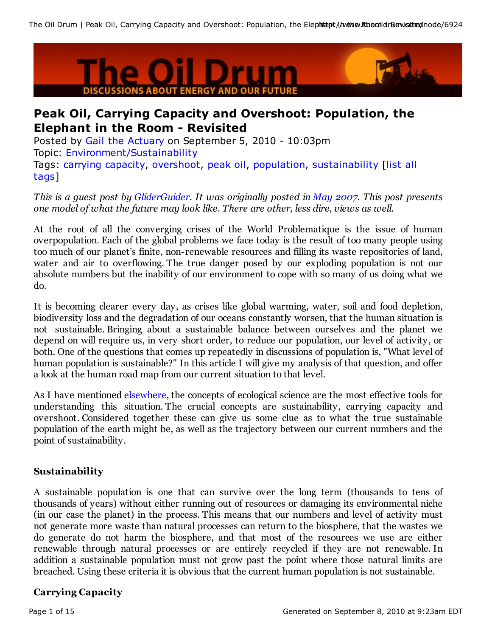

# **Peak Oil, Carrying Capacity and Overshoot: Population, the Elephant in the Room - Revisited**

Posted by Gail the Actuary on September 5, 2010 - 10:03pm Topic: Environment/Sustainability Tags: carrying capacity, overshoot, peak oil, population, sustainability [list all tags]

*This is a guest post by GliderGuider. It was originally posted in May 2007. This post presents one model of what the future may look like. There are other, less dire, views as well.*

At the root of all the converging crises of the World Problematique is the issue of human overpopulation. Each of the global problems we face today is the result of too many people using too much of our planet's finite, non-renewable resources and filling its waste repositories of land, water and air to overflowing. The true danger posed by our exploding population is not our absolute numbers but the inability of our environment to cope with so many of us doing what we do.

It is becoming clearer every day, as crises like global warming, water, soil and food depletion, biodiversity loss and the degradation of our oceans constantly worsen, that the human situation is not sustainable. Bringing about a sustainable balance between ourselves and the planet we depend on will require us, in very short order, to reduce our population, our level of activity, or both. One of the questions that comes up repeatedly in discussions of population is, "What level of human population is sustainable?" In this article I will give my analysis of that question, and offer a look at the human road map from our current situation to that level.

As I have mentioned elsewhere, the concepts of ecological science are the most effective tools for understanding this situation. The crucial concepts are sustainability, carrying capacity and overshoot. Considered together these can give us some clue as to what the true sustainable population of the earth might be, as well as the trajectory between our current numbers and the point of sustainability.

## **Sustainability**

A sustainable population is one that can survive over the long term (thousands to tens of thousands of years) without either running out of resources or damaging its environmental niche (in our case the planet) in the process. This means that our numbers and level of activity must not generate more waste than natural processes can return to the biosphere, that the wastes we do generate do not harm the biosphere, and that most of the resources we use are either renewable through natural processes or are entirely recycled if they are not renewable. In addition a sustainable population must not grow past the point where those natural limits are breached. Using these criteria it is obvious that the current human population is not sustainable.

## **Carrying Capacity**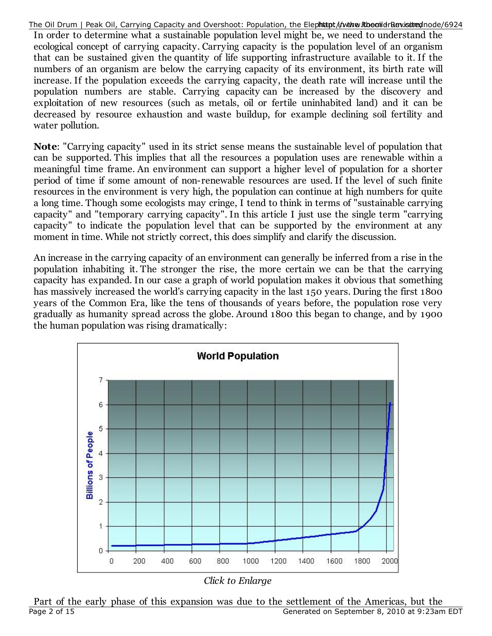The Oil Drum | Peak Oil, Carrying Capacity and Overshoot: Population, the Elephhtapt/i/www.RthoeonildrRewistited/node/6924

In order to determine what a sustainable population level might be, we need to understand the ecological concept of carrying capacity. Carrying capacity is the population level of an organism that can be sustained given the quantity of life supporting infrastructure available to it. If the numbers of an organism are below the carrying capacity of its environment, its birth rate will increase. If the population exceeds the carrying capacity, the death rate will increase until the population numbers are stable. Carrying capacity can be increased by the discovery and exploitation of new resources (such as metals, oil or fertile uninhabited land) and it can be decreased by resource exhaustion and waste buildup, for example declining soil fertility and water pollution.

**Note**: "Carrying capacity" used in its strict sense means the sustainable level of population that can be supported. This implies that all the resources a population uses are renewable within a meaningful time frame. An environment can support a higher level of population for a shorter period of time if some amount of non-renewable resources are used. If the level of such finite resources in the environment is very high, the population can continue at high numbers for quite a long time. Though some ecologists may cringe, I tend to think in terms of "sustainable carrying capacity" and "temporary carrying capacity". In this article I just use the single term "carrying capacity" to indicate the population level that can be supported by the environment at any moment in time. While not strictly correct, this does simplify and clarify the discussion.

An increase in the carrying capacity of an environment can generally be inferred from a rise in the population inhabiting it. The stronger the rise, the more certain we can be that the carrying capacity has expanded. In our case a graph of world population makes it obvious that something has massively increased the world's carrying capacity in the last 150 years. During the first 1800 years of the Common Era, like the tens of thousands of years before, the population rose very gradually as humanity spread across the globe. Around 1800 this began to change, and by 1900 the human population was rising dramatically:



*Click to Enlarge*

Part of the early phase of this expansion was due to the settlement of the Americas, but the Page 2 of 15 Generated on September 8, 2010 at 9:23am EDT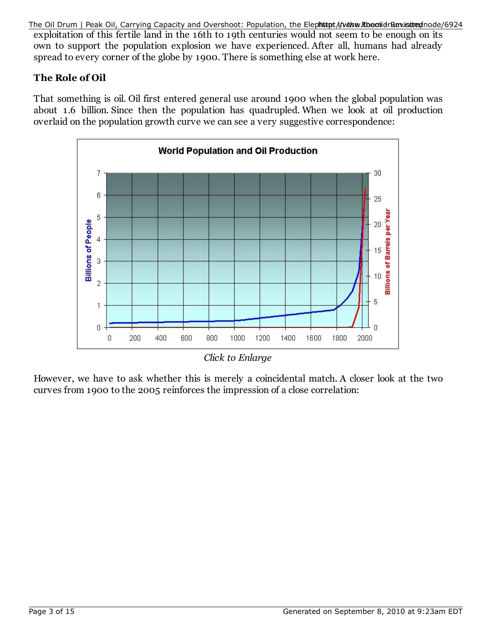exploitation of this fertile land in the 16th to 19th centuries would not seem to be enough on its own to support the population explosion we have experienced. After all, humans had already spread to every corner of the globe by 1900. There is something else at work here. The Oil Drum | Peak Oil, Carrying Capacity and Overshoot: Population, the Elephhtapt/i/wwww.RthoeonildrRewisioned/004/6924

## **The Role of Oil**

That something is oil. Oil first entered general use around 1900 when the global population was about 1.6 billion. Since then the population has quadrupled. When we look at oil production overlaid on the population growth curve we can see a very suggestive correspondence:



*Click to Enlarge*

However, we have to ask whether this is merely a coincidental match. A closer look at the two curves from 1900 to the 2005 reinforces the impression of a close correlation: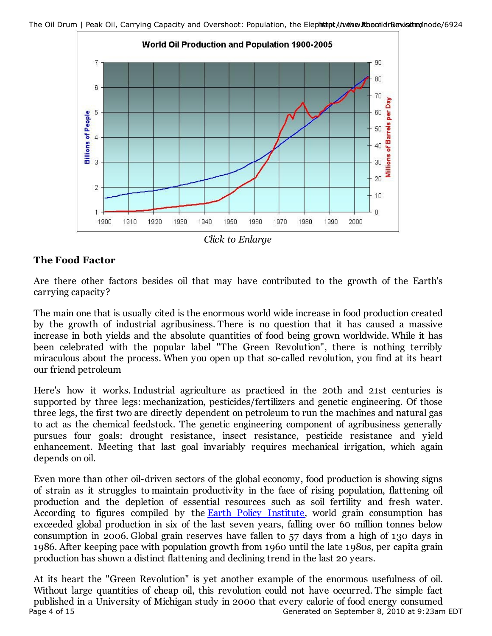

*Click to Enlarge*

## **The Food Factor**

Are there other factors besides oil that may have contributed to the growth of the Earth's carrying capacity?

The main one that is usually cited is the enormous world wide increase in food production created by the growth of industrial agribusiness. There is no question that it has caused a massive increase in both yields and the absolute quantities of food being grown worldwide. While it has been celebrated with the popular label "The Green Revolution", there is nothing terribly miraculous about the process. When you open up that so-called revolution, you find at its heart our friend petroleum

Here's how it works. Industrial agriculture as practiced in the 20th and 21st centuries is supported by three legs: mechanization, pesticides/fertilizers and genetic engineering. Of those three legs, the first two are directly dependent on petroleum to run the machines and natural gas to act as the chemical feedstock. The genetic engineering component of agribusiness generally pursues four goals: drought resistance, insect resistance, pesticide resistance and yield enhancement. Meeting that last goal invariably requires mechanical irrigation, which again depends on oil.

Even more than other oil-driven sectors of the global economy, food production is showing signs of strain as it struggles to maintain productivity in the face of rising population, flattening oil production and the depletion of essential resources such as soil fertility and fresh water. According to figures compiled by the **Earth Policy Institute**, world grain consumption has exceeded global production in six of the last seven years, falling over 60 million tonnes below consumption in 2006. Global grain reserves have fallen to 57 days from a high of 130 days in 1986. After keeping pace with population growth from 1960 until the late 1980s, per capita grain production has shown a distinct flattening and declining trend in the last 20 years.

At its heart the "Green Revolution" is yet another example of the enormous usefulness of oil. Without large quantities of cheap oil, this revolution could not have occurred. The simple fact published in a University of Michigan study in 2000 that every calorie of food energy consumed Page 4 of 15 Generated on September 8, 2010 at 9:23am EDT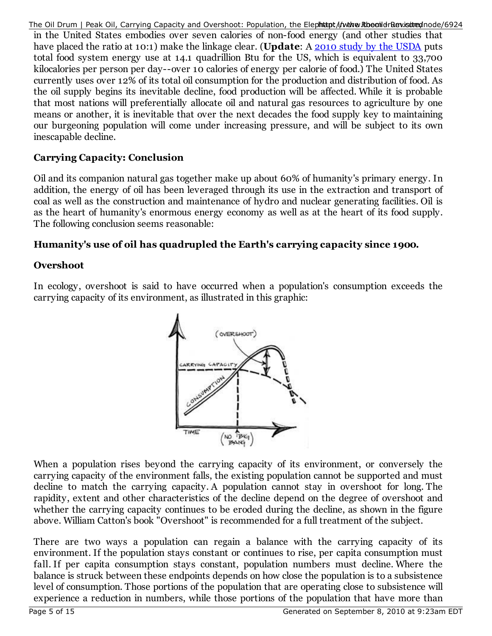The Oil Drum | Peak Oil, Carrying Capacity and Overshoot: Population, the Elephittpt/i/wwww.RbeanldrBewisitredhode/6924 in the United States embodies over seven calories of non-food energy (and other studies that have placed the ratio at 10:1) make the linkage clear. (**Update**: A 2010 study by the USDA puts total food system energy use at 14.1 quadrillion Btu for the US, which is equivalent to 33,700 kilocalories per person per day--over 10 calories of energy per calorie of food.) The United States currently uses over 12% of its total oil consumption for the production and distribution of food. As the oil supply begins its inevitable decline, food production will be affected. While it is probable that most nations will preferentially allocate oil and natural gas resources to agriculture by one means or another, it is inevitable that over the next decades the food supply key to maintaining our burgeoning population will come under increasing pressure, and will be subject to its own inescapable decline.

## **Carrying Capacity: Conclusion**

Oil and its companion natural gas together make up about 60% of humanity's primary energy. In addition, the energy of oil has been leveraged through its use in the extraction and transport of coal as well as the construction and maintenance of hydro and nuclear generating facilities. Oil is as the heart of humanity's enormous energy economy as well as at the heart of its food supply. The following conclusion seems reasonable:

## **Humanity's use of oil has quadrupled the Earth's carrying capacity since 1900.**

## **Overshoot**

In ecology, overshoot is said to have occurred when a population's consumption exceeds the carrying capacity of its environment, as illustrated in this graphic:



When a population rises beyond the carrying capacity of its environment, or conversely the carrying capacity of the environment falls, the existing population cannot be supported and must decline to match the carrying capacity. A population cannot stay in overshoot for long. The rapidity, extent and other characteristics of the decline depend on the degree of overshoot and whether the carrying capacity continues to be eroded during the decline, as shown in the figure above. William Catton's book "Overshoot" is recommended for a full treatment of the subject.

There are two ways a population can regain a balance with the carrying capacity of its environment. If the population stays constant or continues to rise, per capita consumption must fall. If per capita consumption stays constant, population numbers must decline. Where the balance is struck between these endpoints depends on how close the population is to a subsistence level of consumption. Those portions of the population that are operating close to subsistence will experience a reduction in numbers, while those portions of the population that have more than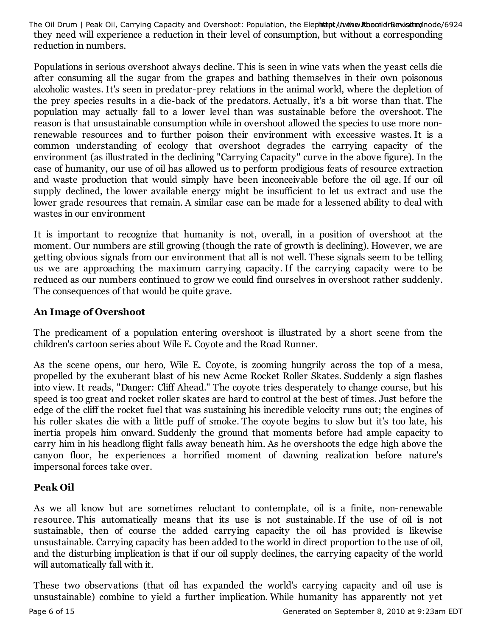they need will experience a reduction in their level of consumption, but without a corresponding reduction in numbers. The Oil Drum | Peak Oil, Carrying Capacity and Overshoot: Population, the Elephhtapt/i/www.RthoeonildrRewistited/node/6924

Populations in serious overshoot always decline. This is seen in wine vats when the yeast cells die after consuming all the sugar from the grapes and bathing themselves in their own poisonous alcoholic wastes. It's seen in predator-prey relations in the animal world, where the depletion of the prey species results in a die-back of the predators. Actually, it's a bit worse than that. The population may actually fall to a lower level than was sustainable before the overshoot. The reason is that unsustainable consumption while in overshoot allowed the species to use more nonrenewable resources and to further poison their environment with excessive wastes. It is a common understanding of ecology that overshoot degrades the carrying capacity of the environment (as illustrated in the declining "Carrying Capacity" curve in the above figure). In the case of humanity, our use of oil has allowed us to perform prodigious feats of resource extraction and waste production that would simply have been inconceivable before the oil age. If our oil supply declined, the lower available energy might be insufficient to let us extract and use the lower grade resources that remain. A similar case can be made for a lessened ability to deal with wastes in our environment

It is important to recognize that humanity is not, overall, in a position of overshoot at the moment. Our numbers are still growing (though the rate of growth is declining). However, we are getting obvious signals from our environment that all is not well. These signals seem to be telling us we are approaching the maximum carrying capacity. If the carrying capacity were to be reduced as our numbers continued to grow we could find ourselves in overshoot rather suddenly. The consequences of that would be quite grave.

#### **An Image of Overshoot**

The predicament of a population entering overshoot is illustrated by a short scene from the children's cartoon series about Wile E. Coyote and the Road Runner.

As the scene opens, our hero, Wile E. Coyote, is zooming hungrily across the top of a mesa, propelled by the exuberant blast of his new Acme Rocket Roller Skates. Suddenly a sign flashes into view. It reads, "Danger: Cliff Ahead." The coyote tries desperately to change course, but his speed is too great and rocket roller skates are hard to control at the best of times. Just before the edge of the cliff the rocket fuel that was sustaining his incredible velocity runs out; the engines of his roller skates die with a little puff of smoke. The coyote begins to slow but it's too late, his inertia propels him onward. Suddenly the ground that moments before had ample capacity to carry him in his headlong flight falls away beneath him. As he overshoots the edge high above the canyon floor, he experiences a horrified moment of dawning realization before nature's impersonal forces take over.

#### **Peak Oil**

As we all know but are sometimes reluctant to contemplate, oil is a finite, non-renewable resource. This automatically means that its use is not sustainable. If the use of oil is not sustainable, then of course the added carrying capacity the oil has provided is likewise unsustainable. Carrying capacity has been added to the world in direct proportion to the use of oil, and the disturbing implication is that if our oil supply declines, the carrying capacity of the world will automatically fall with it.

These two observations (that oil has expanded the world's carrying capacity and oil use is unsustainable) combine to yield a further implication. While humanity has apparently not yet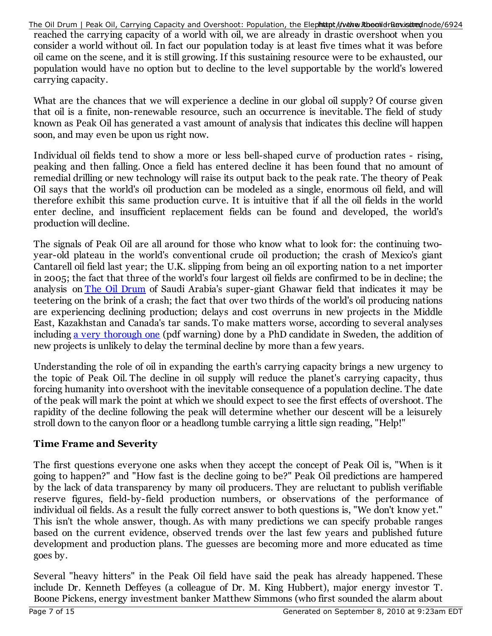reached the carrying capacity of a world with oil, we are already in drastic overshoot when you consider a world without oil. In fact our population today is at least five times what it was before oil came on the scene, and it is still growing. If this sustaining resource were to be exhausted, our population would have no option but to decline to the level supportable by the world's lowered carrying capacity. The Oil Drum | Peak Oil, Carrying Capacity and Overshoot: Population, the Elephhtapt i/nwtww.RthoeonidrRenvistituen/node/6924

What are the chances that we will experience a decline in our global oil supply? Of course given that oil is a finite, non-renewable resource, such an occurrence is inevitable. The field of study known as Peak Oil has generated a vast amount of analysis that indicates this decline will happen soon, and may even be upon us right now.

Individual oil fields tend to show a more or less bell-shaped curve of production rates - rising, peaking and then falling. Once a field has entered decline it has been found that no amount of remedial drilling or new technology will raise its output back to the peak rate. The theory of Peak Oil says that the world's oil production can be modeled as a single, enormous oil field, and will therefore exhibit this same production curve. It is intuitive that if all the oil fields in the world enter decline, and insufficient replacement fields can be found and developed, the world's production will decline.

The signals of Peak Oil are all around for those who know what to look for: the continuing twoyear-old plateau in the world's conventional crude oil production; the crash of Mexico's giant Cantarell oil field last year; the U.K. slipping from being an oil exporting nation to a net importer in 2005; the fact that three of the world's four largest oil fields are confirmed to be in decline; the analysis on The Oil Drum of Saudi Arabia's super-giant Ghawar field that indicates it may be teetering on the brink of a crash; the fact that over two thirds of the world's oil producing nations are experiencing declining production; delays and cost overruns in new projects in the Middle East, Kazakhstan and Canada's tar sands. To make matters worse, according to several analyses including a very thorough one (pdf warning) done by a PhD candidate in Sweden, the addition of new projects is unlikely to delay the terminal decline by more than a few years.

Understanding the role of oil in expanding the earth's carrying capacity brings a new urgency to the topic of Peak Oil. The decline in oil supply will reduce the planet's carrying capacity, thus forcing humanity into overshoot with the inevitable consequence of a population decline. The date of the peak will mark the point at which we should expect to see the first effects of overshoot. The rapidity of the decline following the peak will determine whether our descent will be a leisurely stroll down to the canyon floor or a headlong tumble carrying a little sign reading, "Help!"

## **Time Frame and Severity**

The first questions everyone one asks when they accept the concept of Peak Oil is, "When is it going to happen?" and "How fast is the decline going to be?" Peak Oil predictions are hampered by the lack of data transparency by many oil producers. They are reluctant to publish verifiable reserve figures, field-by-field production numbers, or observations of the performance of individual oil fields. As a result the fully correct answer to both questions is, "We don't know yet." This isn't the whole answer, though. As with many predictions we can specify probable ranges based on the current evidence, observed trends over the last few years and published future development and production plans. The guesses are becoming more and more educated as time goes by.

Several "heavy hitters" in the Peak Oil field have said the peak has already happened. These include Dr. Kenneth Deffeyes (a colleague of Dr. M. King Hubbert), major energy investor T. Boone Pickens, energy investment banker Matthew Simmons (who first sounded the alarm about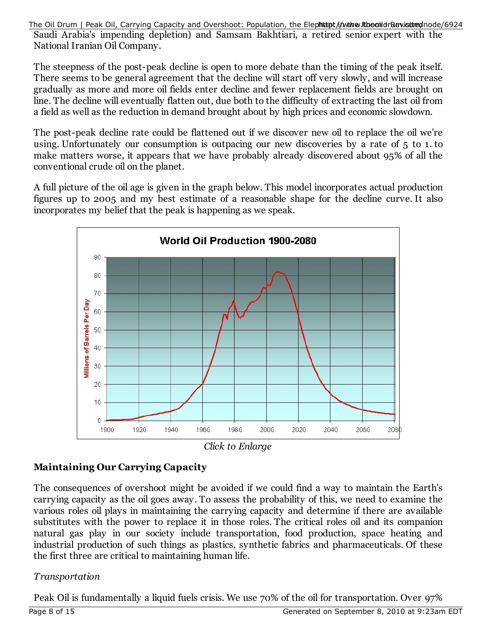Saudi Arabia's impending depletion) and Samsam Bakhtiari, a retired senior expert with the National Iranian Oil Company. The Oil Drum | Peak Oil, Carrying Capacity and Overshoot: Population, the Elephhtapt/i/www.RthoeonildrRewistited/node/6924

The steepness of the post-peak decline is open to more debate than the timing of the peak itself. There seems to be general agreement that the decline will start off very slowly, and will increase gradually as more and more oil fields enter decline and fewer replacement fields are brought on line. The decline will eventually flatten out, due both to the difficulty of extracting the last oil from a field as well as the reduction in demand brought about by high prices and economic slowdown.

The post-peak decline rate could be flattened out if we discover new oil to replace the oil we're using. Unfortunately our consumption is outpacing our new discoveries by a rate of 5 to 1. to make matters worse, it appears that we have probably already discovered about 95% of all the conventional crude oil on the planet.

A full picture of the oil age is given in the graph below. This model incorporates actual production figures up to 2005 and my best estimate of a reasonable shape for the decline curve. It also incorporates my belief that the peak is happening as we speak.



*Click to Enlarge*

## **Maintaining Our Carrying Capacity**

The consequences of overshoot might be avoided if we could find a way to maintain the Earth's carrying capacity as the oil goes away. To assess the probability of this, we need to examine the various roles oil plays in maintaining the carrying capacity and determine if there are available substitutes with the power to replace it in those roles. The critical roles oil and its companion natural gas play in our society include transportation, food production, space heating and industrial production of such things as plastics, synthetic fabrics and pharmaceuticals. Of these the first three are critical to maintaining human life.

## *Transportation*

Peak Oil is fundamentally a liquid fuels crisis. We use 70% of the oil for transportation. Over 97%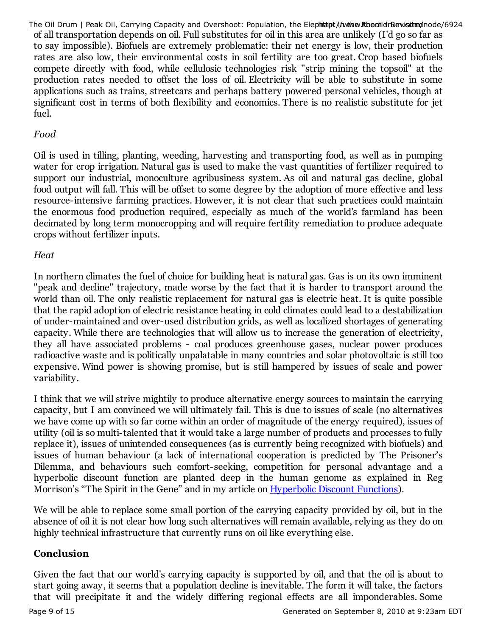of all transportation depends on oil. Full substitutes for oil in this area are unlikely (I'd go so far as to say impossible). Biofuels are extremely problematic: their net energy is low, their production rates are also low, their environmental costs in soil fertility are too great. Crop based biofuels compete directly with food, while cellulosic technologies risk "strip mining the topsoil" at the production rates needed to offset the loss of oil. Electricity will be able to substitute in some applications such as trains, streetcars and perhaps battery powered personal vehicles, though at significant cost in terms of both flexibility and economics. There is no realistic substitute for jet fuel. The Oil Drum | Peak Oil, Carrying Capacity and Overshoot: Population, the Elephhtapt/i/www.RthoeonidrRewissituednode/6924

## *Food*

Oil is used in tilling, planting, weeding, harvesting and transporting food, as well as in pumping water for crop irrigation. Natural gas is used to make the vast quantities of fertilizer required to support our industrial, monoculture agribusiness system. As oil and natural gas decline, global food output will fall. This will be offset to some degree by the adoption of more effective and less resource-intensive farming practices. However, it is not clear that such practices could maintain the enormous food production required, especially as much of the world's farmland has been decimated by long term monocropping and will require fertility remediation to produce adequate crops without fertilizer inputs.

#### *Heat*

In northern climates the fuel of choice for building heat is natural gas. Gas is on its own imminent "peak and decline" trajectory, made worse by the fact that it is harder to transport around the world than oil. The only realistic replacement for natural gas is electric heat. It is quite possible that the rapid adoption of electric resistance heating in cold climates could lead to a destabilization of under-maintained and over-used distribution grids, as well as localized shortages of generating capacity. While there are technologies that will allow us to increase the generation of electricity, they all have associated problems - coal produces greenhouse gases, nuclear power produces radioactive waste and is politically unpalatable in many countries and solar photovoltaic is still too expensive. Wind power is showing promise, but is still hampered by issues of scale and power variability.

I think that we will strive mightily to produce alternative energy sources to maintain the carrying capacity, but I am convinced we will ultimately fail. This is due to issues of scale (no alternatives we have come up with so far come within an order of magnitude of the energy required), issues of utility (oil is so multi-talented that it would take a large number of products and processes to fully replace it), issues of unintended consequences (as is currently being recognized with biofuels) and issues of human behaviour (a lack of international cooperation is predicted by The Prisoner's Dilemma, and behaviours such comfort-seeking, competition for personal advantage and a hyperbolic discount function are planted deep in the human genome as explained in Reg Morrison's "The Spirit in the Gene" and in my article on Hyperbolic Discount Functions).

We will be able to replace some small portion of the carrying capacity provided by oil, but in the absence of oil it is not clear how long such alternatives will remain available, relying as they do on highly technical infrastructure that currently runs on oil like everything else.

## **Conclusion**

Given the fact that our world's carrying capacity is supported by oil, and that the oil is about to start going away, it seems that a population decline is inevitable. The form it will take, the factors that will precipitate it and the widely differing regional effects are all imponderables. Some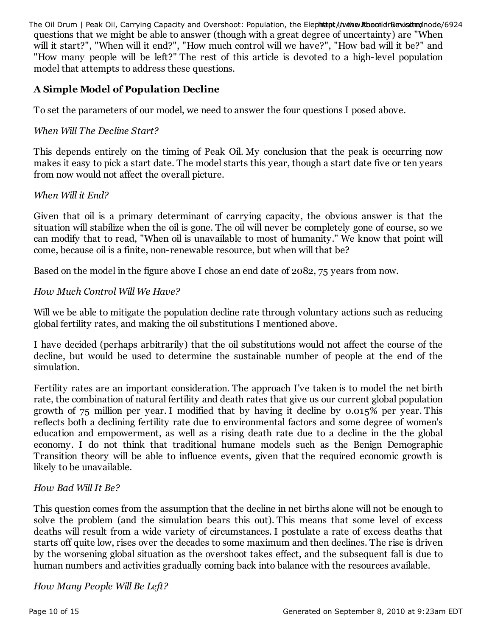questions that we might be able to answer (though with a great degree of uncertainty) are "When will it start?", "When will it end?", "How much control will we have?", "How bad will it be?" and "How many people will be left?" The rest of this article is devoted to a high-level population model that attempts to address these questions. The Oil Drum | Peak Oil, Carrying Capacity and Overshoot: Population, the Elephhtapt/i/www.RthoeonildrRewistited/node/6924

## **A Simple Model of Population Decline**

To set the parameters of our model, we need to answer the four questions I posed above.

#### *When Will The Decline Start?*

This depends entirely on the timing of Peak Oil. My conclusion that the peak is occurring now makes it easy to pick a start date. The model starts this year, though a start date five or ten years from now would not affect the overall picture.

#### *When Will it End?*

Given that oil is a primary determinant of carrying capacity, the obvious answer is that the situation will stabilize when the oil is gone. The oil will never be completely gone of course, so we can modify that to read, "When oil is unavailable to most of humanity." We know that point will come, because oil is a finite, non-renewable resource, but when will that be?

Based on the model in the figure above I chose an end date of 2082, 75 years from now.

#### *How Much Control Will We Have?*

Will we be able to mitigate the population decline rate through voluntary actions such as reducing global fertility rates, and making the oil substitutions I mentioned above.

I have decided (perhaps arbitrarily) that the oil substitutions would not affect the course of the decline, but would be used to determine the sustainable number of people at the end of the simulation.

Fertility rates are an important consideration. The approach I've taken is to model the net birth rate, the combination of natural fertility and death rates that give us our current global population growth of 75 million per year. I modified that by having it decline by 0.015% per year. This reflects both a declining fertility rate due to environmental factors and some degree of women's education and empowerment, as well as a rising death rate due to a decline in the the global economy. I do not think that traditional humane models such as the Benign Demographic Transition theory will be able to influence events, given that the required economic growth is likely to be unavailable.

## *How Bad Will It Be?*

This question comes from the assumption that the decline in net births alone will not be enough to solve the problem (and the simulation bears this out). This means that some level of excess deaths will result from a wide variety of circumstances. I postulate a rate of excess deaths that starts off quite low, rises over the decades to some maximum and then declines. The rise is driven by the worsening global situation as the overshoot takes effect, and the subsequent fall is due to human numbers and activities gradually coming back into balance with the resources available.

*How Many People Will Be Left?*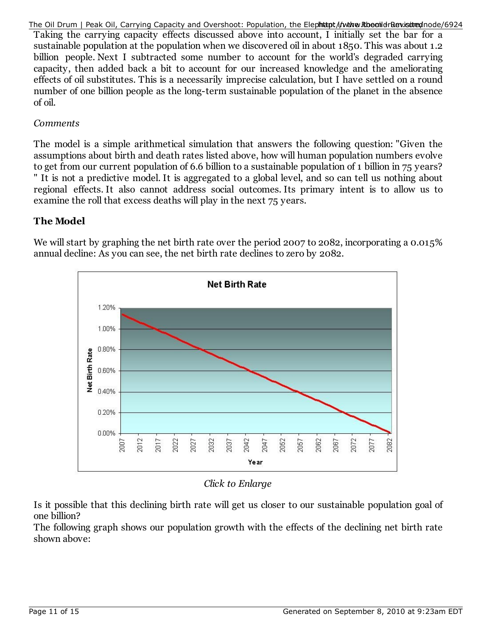The Oil Drum | Peak Oil, Carrying Capacity and Overshoot: Population, the Elephhtapt/i/www.RthoeonildrRewistited/node/6924

Taking the carrying capacity effects discussed above into account, I initially set the bar for a sustainable population at the population when we discovered oil in about 1850. This was about 1.2 billion people. Next I subtracted some number to account for the world's degraded carrying capacity, then added back a bit to account for our increased knowledge and the ameliorating effects of oil substitutes. This is a necessarily imprecise calculation, but I have settled on a round number of one billion people as the long-term sustainable population of the planet in the absence of oil.

#### *Comments*

The model is a simple arithmetical simulation that answers the following question: "Given the assumptions about birth and death rates listed above, how will human population numbers evolve to get from our current population of 6.6 billion to a sustainable population of 1 billion in 75 years? " It is not a predictive model. It is aggregated to a global level, and so can tell us nothing about regional effects. It also cannot address social outcomes. Its primary intent is to allow us to examine the roll that excess deaths will play in the next 75 years.

## **The Model**

We will start by graphing the net birth rate over the period 2007 to 2082, incorporating a 0.015% annual decline: As you can see, the net birth rate declines to zero by 2082.



## *Click to Enlarge*

Is it possible that this declining birth rate will get us closer to our sustainable population goal of one billion?

The following graph shows our population growth with the effects of the declining net birth rate shown above: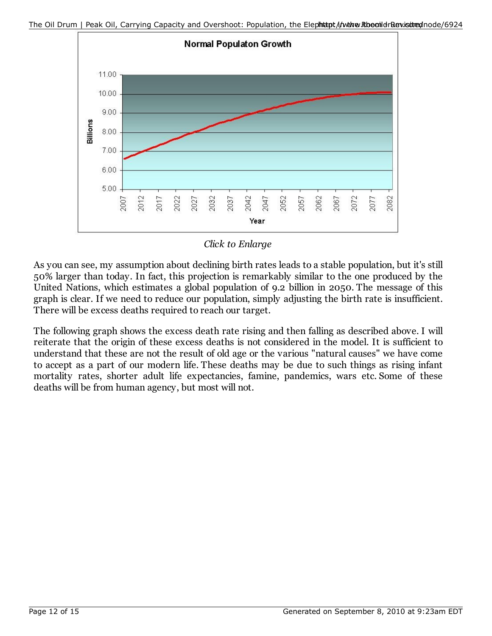



*Click to Enlarge*

As you can see, my assumption about declining birth rates leads to a stable population, but it's still 50% larger than today. In fact, this projection is remarkably similar to the one produced by the United Nations, which estimates a global population of 9.2 billion in 2050. The message of this graph is clear. If we need to reduce our population, simply adjusting the birth rate is insufficient. There will be excess deaths required to reach our target.

The following graph shows the excess death rate rising and then falling as described above. I will reiterate that the origin of these excess deaths is not considered in the model. It is sufficient to understand that these are not the result of old age or the various "natural causes" we have come to accept as a part of our modern life. These deaths may be due to such things as rising infant mortality rates, shorter adult life expectancies, famine, pandemics, wars etc. Some of these deaths will be from human agency, but most will not.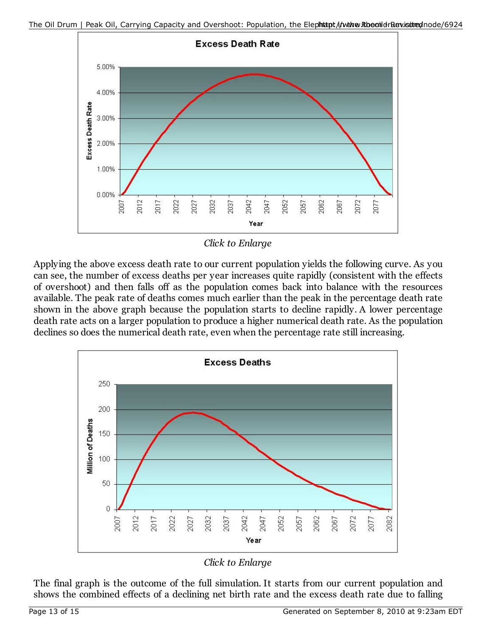

*Click to Enlarge*

Applying the above excess death rate to our current population yields the following curve. As you can see, the number of excess deaths per year increases quite rapidly (consistent with the effects of overshoot) and then falls off as the population comes back into balance with the resources available. The peak rate of deaths comes much earlier than the peak in the percentage death rate shown in the above graph because the population starts to decline rapidly. A lower percentage death rate acts on a larger population to produce a higher numerical death rate. As the population declines so does the numerical death rate, even when the percentage rate still increasing.



*Click to Enlarge*

The final graph is the outcome of the full simulation. It starts from our current population and shows the combined effects of a declining net birth rate and the excess death rate due to falling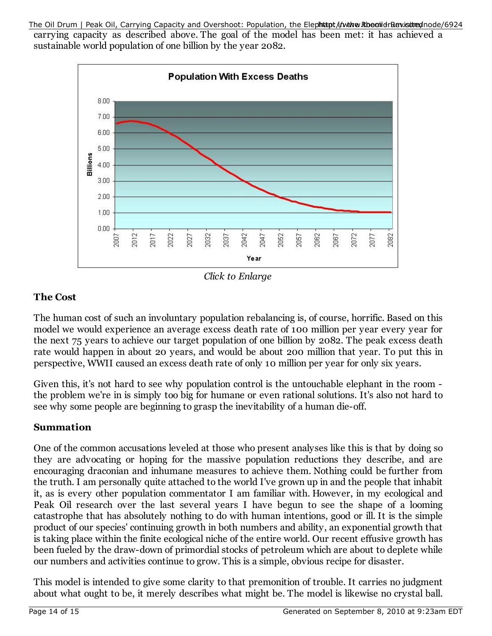carrying capacity as described above. The goal of the model has been met: it has achieved a sustainable world population of one billion by the year 2082. The Oil Drum | Peak Oil, Carrying Capacity and Overshoot: Population, the Elephhtapt i/nwtww.RthoeonidrRenvistituen/node/6924



*Click to Enlarge*

## **The Cost**

The human cost of such an involuntary population rebalancing is, of course, horrific. Based on this model we would experience an average excess death rate of 100 million per year every year for the next 75 years to achieve our target population of one billion by 2082. The peak excess death rate would happen in about 20 years, and would be about 200 million that year. To put this in perspective, WWII caused an excess death rate of only 10 million per year for only six years.

Given this, it's not hard to see why population control is the untouchable elephant in the room the problem we're in is simply too big for humane or even rational solutions. It's also not hard to see why some people are beginning to grasp the inevitability of a human die-off.

## **Summation**

One of the common accusations leveled at those who present analyses like this is that by doing so they are advocating or hoping for the massive population reductions they describe, and are encouraging draconian and inhumane measures to achieve them. Nothing could be further from the truth. I am personally quite attached to the world I've grown up in and the people that inhabit it, as is every other population commentator I am familiar with. However, in my ecological and Peak Oil research over the last several years I have begun to see the shape of a looming catastrophe that has absolutely nothing to do with human intentions, good or ill. It is the simple product of our species' continuing growth in both numbers and ability, an exponential growth that is taking place within the finite ecological niche of the entire world. Our recent effusive growth has been fueled by the draw-down of primordial stocks of petroleum which are about to deplete while our numbers and activities continue to grow. This is a simple, obvious recipe for disaster.

This model is intended to give some clarity to that premonition of trouble. It carries no judgment about what ought to be, it merely describes what might be. The model is likewise no crystal ball.